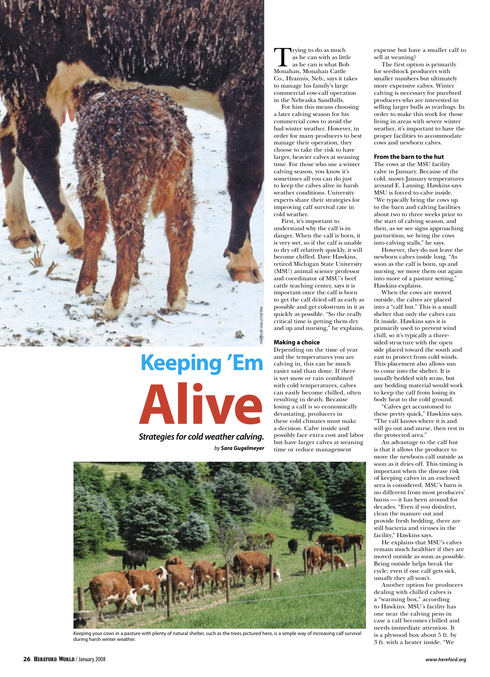

# **Keeping 'Em Alive** by Sara Gugelmeyer

**Strategies for cold weather calving.**

Trying to do as much as he can with as little as he can is what Bob Monahan, Monahan Cattle Co., Hyannis, Neb., says it takes to manage his family's large commercial cow-calf operation in the Nebraska Sandhills.

For him this means choosing a later calving season for his commercial cows to avoid the bad winter weather. However, in order for many producers to best manage their operation, they choose to take the risk to have larger, heavier calves at weaning time. For those who use a winter calving season, you know it's sometimes all you can do just to keep the calves alive in harsh weather conditions. University experts share their strategies for improving calf survival rate in cold weather.

First, it's important to understand why the calf is in danger. When the calf is born, it is very wet, so if the calf is unable to dry off relatively quickly, it will become chilled. Dave Hawkins, retired Michigan State University (MSU) animal science professor and coordinator of MSU's beef cattle teaching center, says it is important once the calf is born to get the calf dried off as early as possible and get colostrum in it as quickly as possible. "So the really critical time is getting them dry and up and nursing," he explains.

## **Making a choice**

Depending on the time of year and the temperatures you are calving in, this can be much easier said than done. If there is wet snow or rain combined with cold temperatures, calves can easily become chilled, often resulting in death. Because losing a calf is so economically devastating, producers in these cold climates must make a decision. Calve inside and possibly face extra cost and labor but have larger calves at weaning time or reduce management



Keeping your cows in a pasture with plenty of natural shelter, such as the trees pictured here, is a simple way of increasing calf survival during harsh winter weather.

expense but have a smaller calf to sell at weaning?

The first option is primarily for seedstock producers with smaller numbers but ultimately more expensive calves. Winter calving is necessary for purebred producers who are interested in selling larger bulls as yearlings. In order to make this work for those living in areas with severe winter weather, it's important to have the proper facilities to accommodate cows and newborn calves.

### **From the barn to the hut**

The cows at the MSU facility calve in January. Because of the cold, snowy January temperatures around E. Lansing, Hawkins says MSU is forced to calve inside. "We typically bring the cows up to the barn and calving facilities about two to three weeks prior to the start of calving season, and then, as we see signs approaching parturition, we bring the cows into calving stalls," he says.

However, they do not leave the newborn calves inside long. "As soon as the calf is born, up and nursing, we move them out again into more of a pasture setting," Hawkins explains.

When the cows are moved outside, the calves are placed into a "calf hut." This is a small shelter that only the calves can fit inside. Hawkins says it is primarily used to prevent wind chill, so it's typically a threesided structure with the open side placed toward the south and east to protect from cold winds. This placement also allows sun to come into the shelter. It is usually bedded with straw, but any bedding material would work to keep the calf from losing its body heat to the cold ground.

"Calves get accustomed to these pretty quick," Hawkins says. "The calf knows where it is and will go out and nurse, then rest in the protected area."

An advantage to the calf hut is that it allows the producer to move the newborn calf outside as soon as it dries off. This timing is important when the disease risk of keeping calves in an enclosed area is considered. MSU's barn is no different from most producers' barns — it has been around for decades. "Even if you disinfect, clean the manure out and provide fresh bedding, there are still bacteria and viruses in the facility," Hawkins says.

He explains that MSU's calves remain much healthier if they are moved outside as soon as possible. Being outside helps break the cycle; even if one calf gets sick, usually they all won't.

Another option for producers dealing with chilled calves is a "warming box," according to Hawkins. MSU's facility has one near the calving pens in case a calf becomes chilled and needs immediate attention. It is a plywood box about 5 ft. by 3 ft. with a heater inside. "We